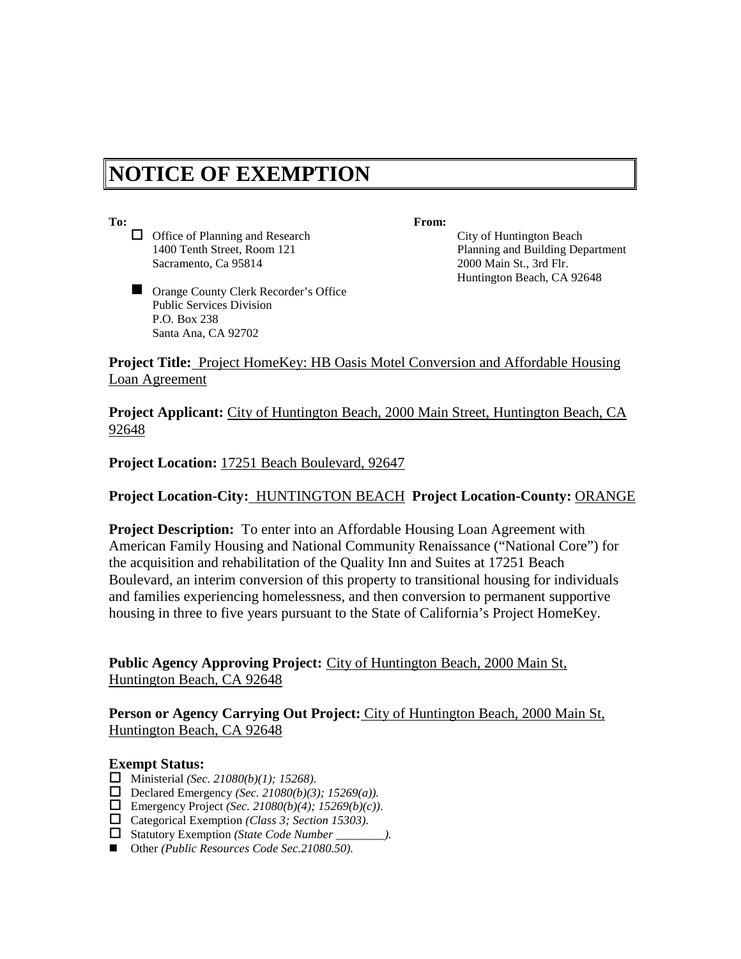# **NOTICE OF EXEMPTION**

- □ Office of Planning and Research City of Huntington Beach Sacramento, Ca 95814 2000 Main St., 3rd Flr.
- Orange County Clerk Recorder's Office Public Services Division P.O. Box 238 Santa Ana, CA 92702

**To: From:**

1400 Tenth Street, Room 121 Planning and Building Department Huntington Beach, CA 92648

**Project Title:** Project HomeKey: HB Oasis Motel Conversion and Affordable Housing Loan Agreement

**Project Applicant:** City of Huntington Beach, 2000 Main Street, Huntington Beach, CA 92648

**Project Location:** 17251 Beach Boulevard, 92647

## **Project Location-City:** HUNTINGTON BEACH **Project Location-County:** ORANGE

**Project Description:** To enter into an Affordable Housing Loan Agreement with American Family Housing and National Community Renaissance ("National Core") for the acquisition and rehabilitation of the Quality Inn and Suites at 17251 Beach Boulevard, an interim conversion of this property to transitional housing for individuals and families experiencing homelessness, and then conversion to permanent supportive housing in three to five years pursuant to the State of California's Project HomeKey.

**Public Agency Approving Project:** City of Huntington Beach, 2000 Main St, Huntington Beach, CA 92648

### **Person or Agency Carrying Out Project:** City of Huntington Beach, 2000 Main St, Huntington Beach, CA 92648

#### **Exempt Status:**

- Ministerial *(Sec. 21080(b)(1); 15268)*.
- Declared Emergency *(Sec. 21080(b)(3)*; 15269(a)).
- Emergency Project *(Sec. 21080(b)(4); 15269(b)(c))*.
- Categorical Exemption *(Class 3; Section 15303)*.
- Statutory Exemption *(State Code Number \_\_\_\_\_\_\_\_).*
- Other *(Public Resources Code Sec.21080.50).*